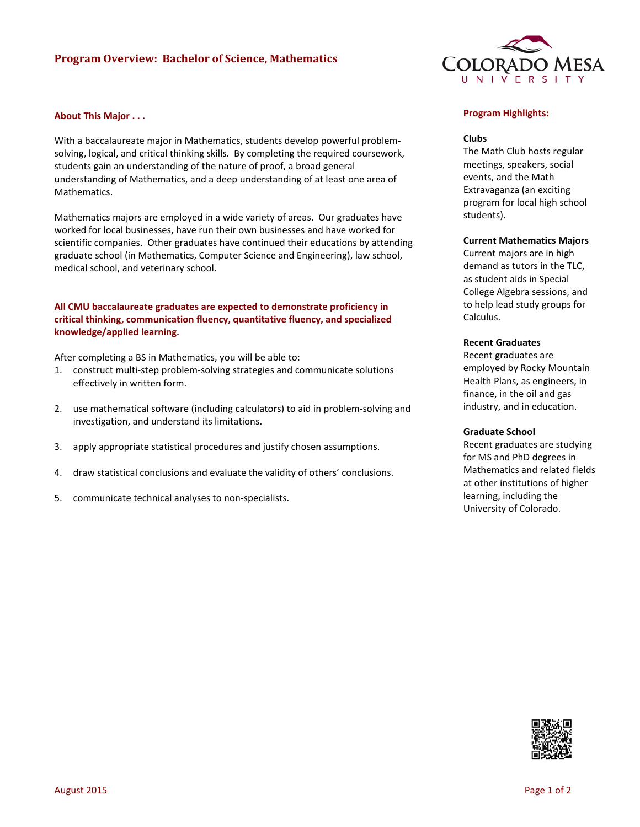# **Program Overview: Bachelor of Science, Mathematics**

### **About This Major . . .**

With a baccalaureate major in Mathematics, students develop powerful problemsolving, logical, and critical thinking skills. By completing the required coursework, students gain an understanding of the nature of proof, a broad general understanding of Mathematics, and a deep understanding of at least one area of Mathematics.

Mathematics majors are employed in a wide variety of areas. Our graduates have worked for local businesses, have run their own businesses and have worked for scientific companies. Other graduates have continued their educations by attending graduate school (in Mathematics, Computer Science and Engineering), law school, medical school, and veterinary school.

## **All CMU baccalaureate graduates are expected to demonstrate proficiency in critical thinking, communication fluency, quantitative fluency, and specialized knowledge/applied learning.**

After completing a BS in Mathematics, you will be able to:

- 1. construct multi-step problem-solving strategies and communicate solutions effectively in written form.
- 2. use mathematical software (including calculators) to aid in problem-solving and investigation, and understand its limitations.
- 3. apply appropriate statistical procedures and justify chosen assumptions.
- 4. draw statistical conclusions and evaluate the validity of others' conclusions.
- 5. communicate technical analyses to non-specialists.



### **Program Highlights:**

#### **Clubs**

The Math Club hosts regular meetings, speakers, social events, and the Math Extravaganza (an exciting program for local high school students).

### **Current Mathematics Majors**

Current majors are in high demand as tutors in the TLC, as student aids in Special College Algebra sessions, and to help lead study groups for Calculus.

### **Recent Graduates**

Recent graduates are employed by Rocky Mountain Health Plans, as engineers, in finance, in the oil and gas industry, and in education.

#### **Graduate School**

Recent graduates are studying for MS and PhD degrees in Mathematics and related fields at other institutions of higher learning, including the University of Colorado.